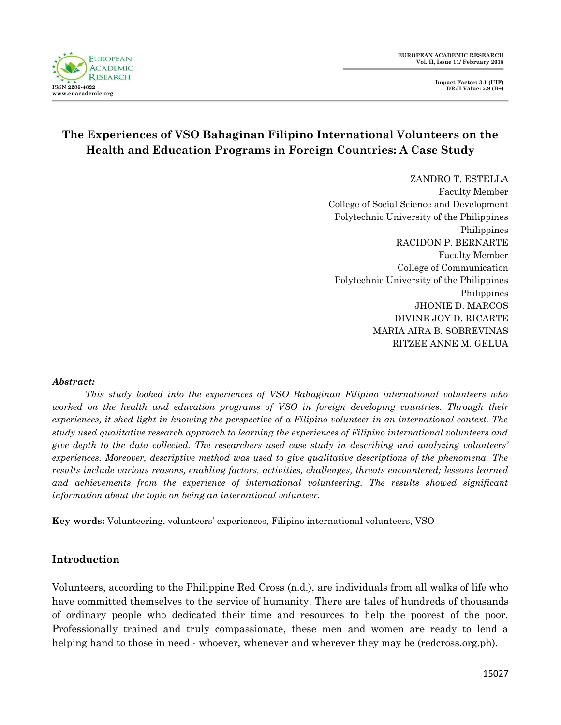

# **The Experiences of VSO Bahaginan Filipino International Volunteers on the Health and Education Programs in Foreign Countries: A Case Study**

ZANDRO T. ESTELLA Faculty Member College of Social Science and Development Polytechnic University of the Philippines Philippines RACIDON P. BERNARTE Faculty Member College of Communication Polytechnic University of the Philippines Philippines JHONIE D. MARCOS DIVINE JOY D. RICARTE MARIA AIRA B. SOBREVINAS RITZEE ANNE M. GELUA

#### *Abstract:*

*This study looked into the experiences of VSO Bahaginan Filipino international volunteers who worked on the health and education programs of VSO in foreign developing countries. Through their experiences, it shed light in knowing the perspective of a Filipino volunteer in an international context. The study used qualitative research approach to learning the experiences of Filipino international volunteers and give depth to the data collected. The researchers used case study in describing and analyzing volunteers' experiences. Moreover, descriptive method was used to give qualitative descriptions of the phenomena. The results include various reasons, enabling factors, activities, challenges, threats encountered; lessons learned and achievements from the experience of international volunteering. The results showed significant information about the topic on being an international volunteer.*

**Key words:** Volunteering, volunteers" experiences, Filipino international volunteers, VSO

## **Introduction**

Volunteers, according to the Philippine Red Cross (n.d.), are individuals from all walks of life who have committed themselves to the service of humanity. There are tales of hundreds of thousands of ordinary people who dedicated their time and resources to help the poorest of the poor. Professionally trained and truly compassionate, these men and women are ready to lend a helping hand to those in need - whoever, whenever and wherever they may be (redcross.org.ph).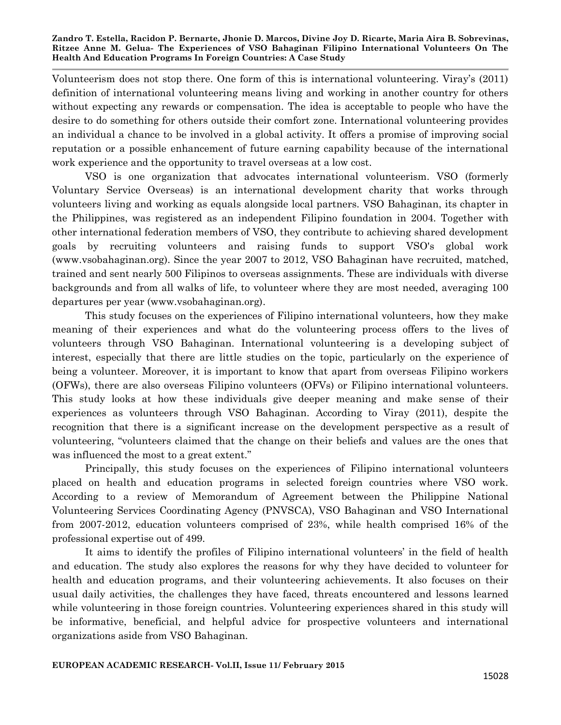Volunteerism does not stop there. One form of this is international volunteering. Viray"s (2011) definition of international volunteering means living and working in another country for others without expecting any rewards or compensation. The idea is acceptable to people who have the desire to do something for others outside their comfort zone. International volunteering provides an individual a chance to be involved in a global activity. It offers a promise of improving social reputation or a possible enhancement of future earning capability because of the international work experience and the opportunity to travel overseas at a low cost.

VSO is one organization that advocates international volunteerism. VSO (formerly Voluntary Service Overseas) is an international development charity that works through volunteers living and working as equals alongside local partners. VSO Bahaginan, its chapter in the Philippines, was registered as an independent Filipino foundation in 2004. Together with other international federation members of VSO, they contribute to achieving shared development goals by recruiting volunteers and raising funds to support VSO's global work (www.vsobahaginan.org). Since the year 2007 to 2012, VSO Bahaginan have recruited, matched, trained and sent nearly 500 Filipinos to overseas assignments. These are individuals with diverse backgrounds and from all walks of life, to volunteer where they are most needed, averaging 100 departures per year (www.vsobahaginan.org).

This study focuses on the experiences of Filipino international volunteers, how they make meaning of their experiences and what do the volunteering process offers to the lives of volunteers through VSO Bahaginan. International volunteering is a developing subject of interest, especially that there are little studies on the topic, particularly on the experience of being a volunteer. Moreover, it is important to know that apart from overseas Filipino workers (OFWs), there are also overseas Filipino volunteers (OFVs) or Filipino international volunteers. This study looks at how these individuals give deeper meaning and make sense of their experiences as volunteers through VSO Bahaginan. According to Viray (2011), despite the recognition that there is a significant increase on the development perspective as a result of volunteering, "volunteers claimed that the change on their beliefs and values are the ones that was influenced the most to a great extent."

Principally, this study focuses on the experiences of Filipino international volunteers placed on health and education programs in selected foreign countries where VSO work. According to a review of Memorandum of Agreement between the Philippine National Volunteering Services Coordinating Agency (PNVSCA), VSO Bahaginan and VSO International from 2007-2012, education volunteers comprised of 23%, while health comprised 16% of the professional expertise out of 499.

It aims to identify the profiles of Filipino international volunteers' in the field of health and education. The study also explores the reasons for why they have decided to volunteer for health and education programs, and their volunteering achievements. It also focuses on their usual daily activities, the challenges they have faced, threats encountered and lessons learned while volunteering in those foreign countries. Volunteering experiences shared in this study will be informative, beneficial, and helpful advice for prospective volunteers and international organizations aside from VSO Bahaginan.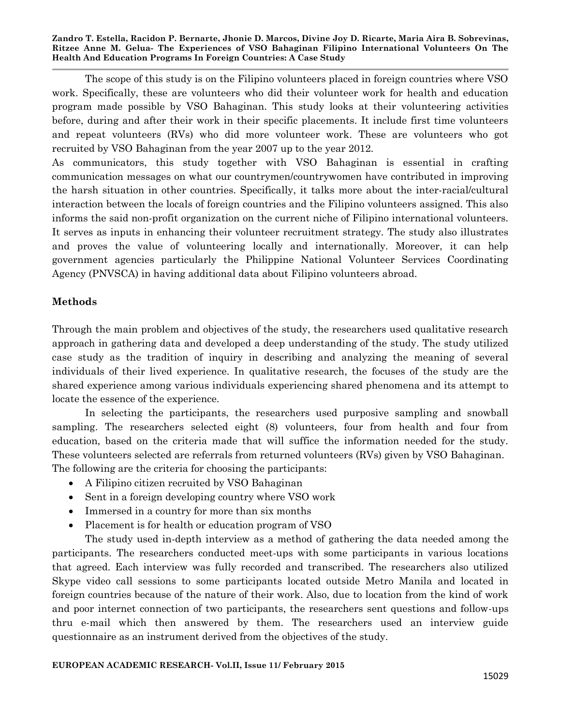The scope of this study is on the Filipino volunteers placed in foreign countries where VSO work. Specifically, these are volunteers who did their volunteer work for health and education program made possible by VSO Bahaginan. This study looks at their volunteering activities before, during and after their work in their specific placements. It include first time volunteers and repeat volunteers (RVs) who did more volunteer work. These are volunteers who got recruited by VSO Bahaginan from the year 2007 up to the year 2012.

As communicators, this study together with VSO Bahaginan is essential in crafting communication messages on what our countrymen/countrywomen have contributed in improving the harsh situation in other countries. Specifically, it talks more about the inter-racial/cultural interaction between the locals of foreign countries and the Filipino volunteers assigned. This also informs the said non-profit organization on the current niche of Filipino international volunteers. It serves as inputs in enhancing their volunteer recruitment strategy. The study also illustrates and proves the value of volunteering locally and internationally. Moreover, it can help government agencies particularly the Philippine National Volunteer Services Coordinating Agency (PNVSCA) in having additional data about Filipino volunteers abroad.

## **Methods**

Through the main problem and objectives of the study, the researchers used qualitative research approach in gathering data and developed a deep understanding of the study. The study utilized case study as the tradition of inquiry in describing and analyzing the meaning of several individuals of their lived experience. In qualitative research, the focuses of the study are the shared experience among various individuals experiencing shared phenomena and its attempt to locate the essence of the experience.

In selecting the participants, the researchers used purposive sampling and snowball sampling. The researchers selected eight (8) volunteers, four from health and four from education, based on the criteria made that will suffice the information needed for the study. These volunteers selected are referrals from returned volunteers (RVs) given by VSO Bahaginan. The following are the criteria for choosing the participants:

- A Filipino citizen recruited by VSO Bahaginan
- Sent in a foreign developing country where VSO work
- Immersed in a country for more than six months
- Placement is for health or education program of VSO

The study used in-depth interview as a method of gathering the data needed among the participants. The researchers conducted meet-ups with some participants in various locations that agreed. Each interview was fully recorded and transcribed. The researchers also utilized Skype video call sessions to some participants located outside Metro Manila and located in foreign countries because of the nature of their work. Also, due to location from the kind of work and poor internet connection of two participants, the researchers sent questions and follow-ups thru e-mail which then answered by them. The researchers used an interview guide questionnaire as an instrument derived from the objectives of the study.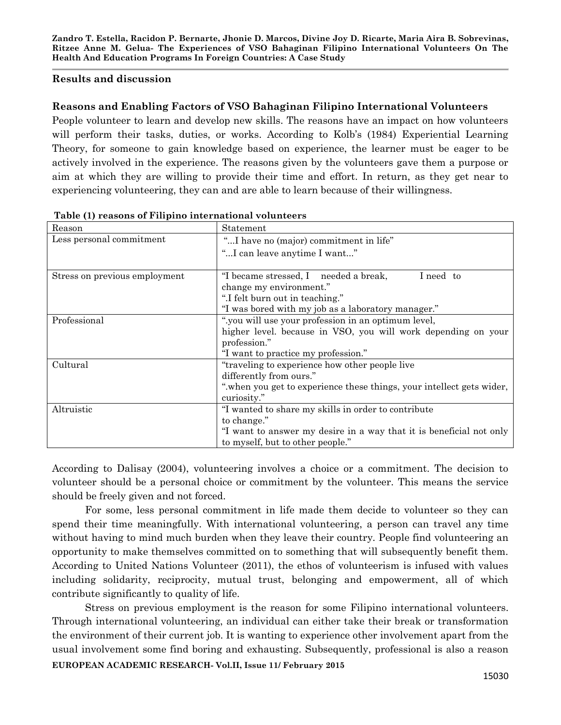#### **Results and discussion**

#### **Reasons and Enabling Factors of VSO Bahaginan Filipino International Volunteers**

People volunteer to learn and develop new skills. The reasons have an impact on how volunteers will perform their tasks, duties, or works. According to Kolb's (1984) Experiential Learning Theory, for someone to gain knowledge based on experience, the learner must be eager to be actively involved in the experience. The reasons given by the volunteers gave them a purpose or aim at which they are willing to provide their time and effort. In return, as they get near to experiencing volunteering, they can and are able to learn because of their willingness.

| Reason                        | Statement                                                            |
|-------------------------------|----------------------------------------------------------------------|
| Less personal commitment      | "I have no (major) commitment in life"                               |
|                               | "I can leave anytime I want"                                         |
|                               |                                                                      |
| Stress on previous employment | "I became stressed, I needed a break,<br>I need to                   |
|                               | change my environment."                                              |
|                               | ".I felt burn out in teaching."                                      |
|                               | "I was bored with my job as a laboratory manager."                   |
| Professional                  | ".you will use your profession in an optimum level,                  |
|                               | higher level, because in VSO, you will work depending on your        |
|                               | profession."                                                         |
|                               | "I want to practice my profession."                                  |
| Cultural                      | "traveling to experience how other people live"                      |
|                               | differently from ours."                                              |
|                               | "when you get to experience these things, your intellect gets wider, |
|                               | curiosity."                                                          |
| Altruistic                    | "I wanted to share my skills in order to contribute                  |
|                               | to change."                                                          |
|                               | "I want to answer my desire in a way that it is beneficial not only  |
|                               | to myself, but to other people."                                     |

**Table (1) reasons of Filipino international volunteers**

According to Dalisay (2004), volunteering involves a choice or a commitment. The decision to volunteer should be a personal choice or commitment by the volunteer. This means the service should be freely given and not forced.

For some, less personal commitment in life made them decide to volunteer so they can spend their time meaningfully. With international volunteering, a person can travel any time without having to mind much burden when they leave their country. People find volunteering an opportunity to make themselves committed on to something that will subsequently benefit them. According to United Nations Volunteer (2011), the ethos of volunteerism is infused with values including solidarity, reciprocity, mutual trust, belonging and empowerment, all of which contribute significantly to quality of life.

**EUROPEAN ACADEMIC RESEARCH- Vol.II, Issue 11/ February 2015** Stress on previous employment is the reason for some Filipino international volunteers. Through international volunteering, an individual can either take their break or transformation the environment of their current job. It is wanting to experience other involvement apart from the usual involvement some find boring and exhausting. Subsequently, professional is also a reason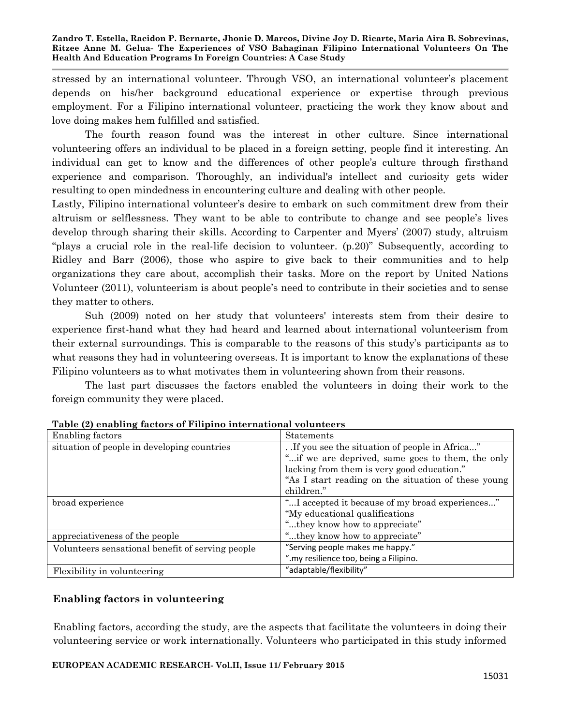stressed by an international volunteer. Through VSO, an international volunteer"s placement depends on his/her background educational experience or expertise through previous employment. For a Filipino international volunteer, practicing the work they know about and love doing makes hem fulfilled and satisfied.

The fourth reason found was the interest in other culture. Since international volunteering offers an individual to be placed in a foreign setting, people find it interesting. An individual can get to know and the differences of other people"s culture through firsthand experience and comparison. Thoroughly, an individual's intellect and curiosity gets wider resulting to open mindedness in encountering culture and dealing with other people.

Lastly, Filipino international volunteer's desire to embark on such commitment drew from their altruism or selflessness. They want to be able to contribute to change and see people"s lives develop through sharing their skills. According to Carpenter and Myers' (2007) study, altruism "plays a crucial role in the real-life decision to volunteer. (p.20)" Subsequently, according to Ridley and Barr (2006), those who aspire to give back to their communities and to help organizations they care about, accomplish their tasks. More on the report by United Nations Volunteer (2011), volunteerism is about people"s need to contribute in their societies and to sense they matter to others.

Suh (2009) noted on her study that volunteers' interests stem from their desire to experience first-hand what they had heard and learned about international volunteerism from their external surroundings. This is comparable to the reasons of this study"s participants as to what reasons they had in volunteering overseas. It is important to know the explanations of these Filipino volunteers as to what motivates them in volunteering shown from their reasons.

The last part discusses the factors enabled the volunteers in doing their work to the foreign community they were placed.

| Enabling factors                                 | <b>Statements</b>                                   |
|--------------------------------------------------|-----------------------------------------------------|
| situation of people in developing countries      | If you see the situation of people in Africa"       |
|                                                  | "if we are deprived, same goes to them, the only    |
|                                                  | lacking from them is very good education."          |
|                                                  | "As I start reading on the situation of these young |
|                                                  | children."                                          |
| broad experience                                 | "I accepted it because of my broad experiences"     |
|                                                  | "My educational qualifications                      |
|                                                  | "they know how to appreciate"                       |
| appreciativeness of the people                   | "they know how to appreciate"                       |
| Volunteers sensational benefit of serving people | "Serving people makes me happy."                    |
|                                                  | ".my resilience too, being a Filipino.              |
| Flexibility in volunteering                      | "adaptable/flexibility"                             |

**Table (2) enabling factors of Filipino international volunteers**

## **Enabling factors in volunteering**

Enabling factors, according the study, are the aspects that facilitate the volunteers in doing their volunteering service or work internationally. Volunteers who participated in this study informed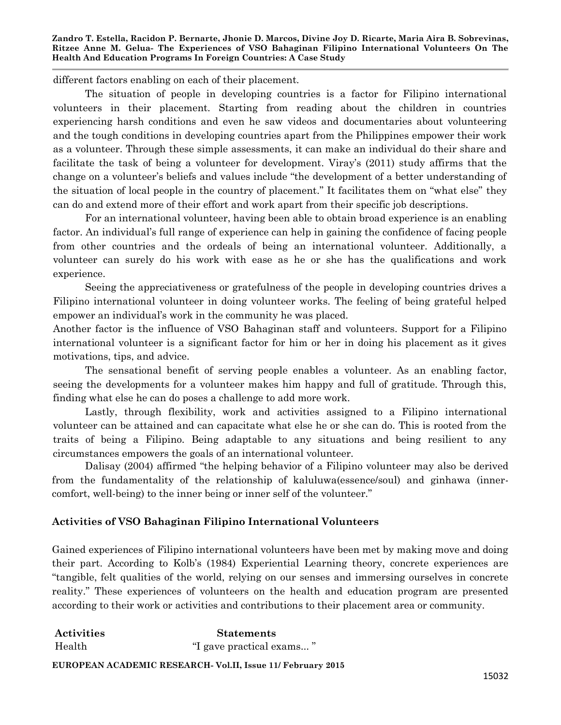different factors enabling on each of their placement.

The situation of people in developing countries is a factor for Filipino international volunteers in their placement. Starting from reading about the children in countries experiencing harsh conditions and even he saw videos and documentaries about volunteering and the tough conditions in developing countries apart from the Philippines empower their work as a volunteer. Through these simple assessments, it can make an individual do their share and facilitate the task of being a volunteer for development. Viray"s (2011) study affirms that the change on a volunteer"s beliefs and values include "the development of a better understanding of the situation of local people in the country of placement." It facilitates them on "what else" they can do and extend more of their effort and work apart from their specific job descriptions.

For an international volunteer, having been able to obtain broad experience is an enabling factor. An individual"s full range of experience can help in gaining the confidence of facing people from other countries and the ordeals of being an international volunteer. Additionally, a volunteer can surely do his work with ease as he or she has the qualifications and work experience.

Seeing the appreciativeness or gratefulness of the people in developing countries drives a Filipino international volunteer in doing volunteer works. The feeling of being grateful helped empower an individual's work in the community he was placed.

Another factor is the influence of VSO Bahaginan staff and volunteers. Support for a Filipino international volunteer is a significant factor for him or her in doing his placement as it gives motivations, tips, and advice.

The sensational benefit of serving people enables a volunteer. As an enabling factor, seeing the developments for a volunteer makes him happy and full of gratitude. Through this, finding what else he can do poses a challenge to add more work.

Lastly, through flexibility, work and activities assigned to a Filipino international volunteer can be attained and can capacitate what else he or she can do. This is rooted from the traits of being a Filipino. Being adaptable to any situations and being resilient to any circumstances empowers the goals of an international volunteer.

Dalisay (2004) affirmed "the helping behavior of a Filipino volunteer may also be derived from the fundamentality of the relationship of kaluluwa(essence/soul) and ginhawa (innercomfort, well-being) to the inner being or inner self of the volunteer."

## **Activities of VSO Bahaginan Filipino International Volunteers**

Gained experiences of Filipino international volunteers have been met by making move and doing their part. According to Kolb"s (1984) Experiential Learning theory, concrete experiences are "tangible, felt qualities of the world, relying on our senses and immersing ourselves in concrete reality." These experiences of volunteers on the health and education program are presented according to their work or activities and contributions to their placement area or community.

| Activities | <b>Statements</b>       |
|------------|-------------------------|
| Health     | "I gave practical exams |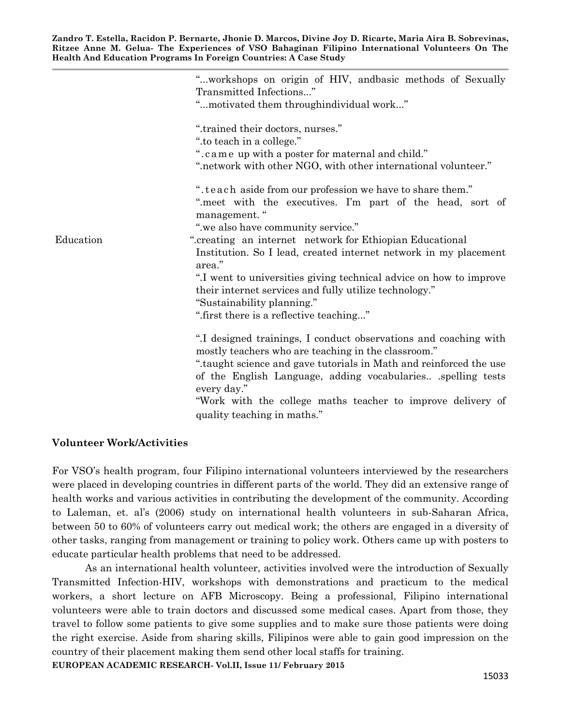|           | "workshops on origin of HIV, andbasic methods of Sexually<br>Transmitted Infections"<br>"motivated them throughindividual work"                                                                                                                                                                                                                                                      |
|-----------|--------------------------------------------------------------------------------------------------------------------------------------------------------------------------------------------------------------------------------------------------------------------------------------------------------------------------------------------------------------------------------------|
|           | ".trained their doctors, nurses."<br>".to teach in a college."<br>".came up with a poster for maternal and child."<br>".network with other NGO, with other international volunteer."                                                                                                                                                                                                 |
|           | ".teach aside from our profession we have to share them."<br>".meet with the executives. I'm part of the head, sort of<br>management."                                                                                                                                                                                                                                               |
| Education | "we also have community service."<br>".creating an internet network for Ethiopian Educational<br>Institution. So I lead, created internet network in my placement<br>area."<br>".I went to universities giving technical advice on how to improve<br>their internet services and fully utilize technology."<br>"Sustainability planning."<br>".first there is a reflective teaching" |
|           | ".I designed trainings, I conduct observations and coaching with<br>mostly teachers who are teaching in the classroom."<br>".taught science and gave tutorials in Math and reinforced the use<br>of the English Language, adding vocabularies .spelling tests<br>every day."<br>"Work with the college maths teacher to improve delivery of<br>quality teaching in maths."           |

#### **Volunteer Work/Activities**

For VSO"s health program, four Filipino international volunteers interviewed by the researchers were placed in developing countries in different parts of the world. They did an extensive range of health works and various activities in contributing the development of the community. According to Laleman, et. al"s (2006) study on international health volunteers in sub-Saharan Africa, between 50 to 60% of volunteers carry out medical work; the others are engaged in a diversity of other tasks, ranging from management or training to policy work. Others came up with posters to educate particular health problems that need to be addressed.

**EUROPEAN ACADEMIC RESEARCH- Vol.II, Issue 11/ February 2015** As an international health volunteer, activities involved were the introduction of Sexually Transmitted Infection-HIV, workshops with demonstrations and practicum to the medical workers, a short lecture on AFB Microscopy. Being a professional, Filipino international volunteers were able to train doctors and discussed some medical cases. Apart from those, they travel to follow some patients to give some supplies and to make sure those patients were doing the right exercise. Aside from sharing skills, Filipinos were able to gain good impression on the country of their placement making them send other local staffs for training.

15033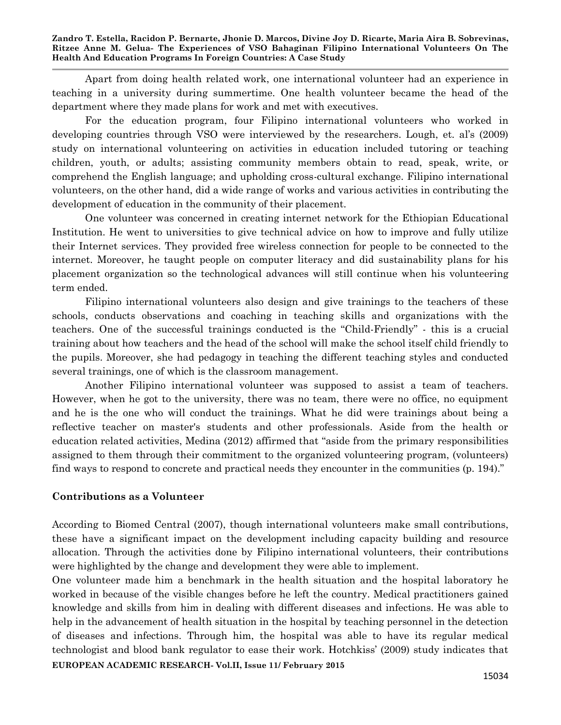Apart from doing health related work, one international volunteer had an experience in teaching in a university during summertime. One health volunteer became the head of the department where they made plans for work and met with executives.

For the education program, four Filipino international volunteers who worked in developing countries through VSO were interviewed by the researchers. Lough, et. al's (2009) study on international volunteering on activities in education included tutoring or teaching children, youth, or adults; assisting community members obtain to read, speak, write, or comprehend the English language; and upholding cross-cultural exchange. Filipino international volunteers, on the other hand, did a wide range of works and various activities in contributing the development of education in the community of their placement.

One volunteer was concerned in creating internet network for the Ethiopian Educational Institution. He went to universities to give technical advice on how to improve and fully utilize their Internet services. They provided free wireless connection for people to be connected to the internet. Moreover, he taught people on computer literacy and did sustainability plans for his placement organization so the technological advances will still continue when his volunteering term ended.

Filipino international volunteers also design and give trainings to the teachers of these schools, conducts observations and coaching in teaching skills and organizations with the teachers. One of the successful trainings conducted is the "Child-Friendly" - this is a crucial training about how teachers and the head of the school will make the school itself child friendly to the pupils. Moreover, she had pedagogy in teaching the different teaching styles and conducted several trainings, one of which is the classroom management.

Another Filipino international volunteer was supposed to assist a team of teachers. However, when he got to the university, there was no team, there were no office, no equipment and he is the one who will conduct the trainings. What he did were trainings about being a reflective teacher on master's students and other professionals. Aside from the health or education related activities, Medina (2012) affirmed that "aside from the primary responsibilities assigned to them through their commitment to the organized volunteering program, (volunteers) find ways to respond to concrete and practical needs they encounter in the communities (p. 194)."

## **Contributions as a Volunteer**

According to Biomed Central (2007), though international volunteers make small contributions, these have a significant impact on the development including capacity building and resource allocation. Through the activities done by Filipino international volunteers, their contributions were highlighted by the change and development they were able to implement.

**EUROPEAN ACADEMIC RESEARCH- Vol.II, Issue 11/ February 2015** One volunteer made him a benchmark in the health situation and the hospital laboratory he worked in because of the visible changes before he left the country. Medical practitioners gained knowledge and skills from him in dealing with different diseases and infections. He was able to help in the advancement of health situation in the hospital by teaching personnel in the detection of diseases and infections. Through him, the hospital was able to have its regular medical technologist and blood bank regulator to ease their work. Hotchkiss" (2009) study indicates that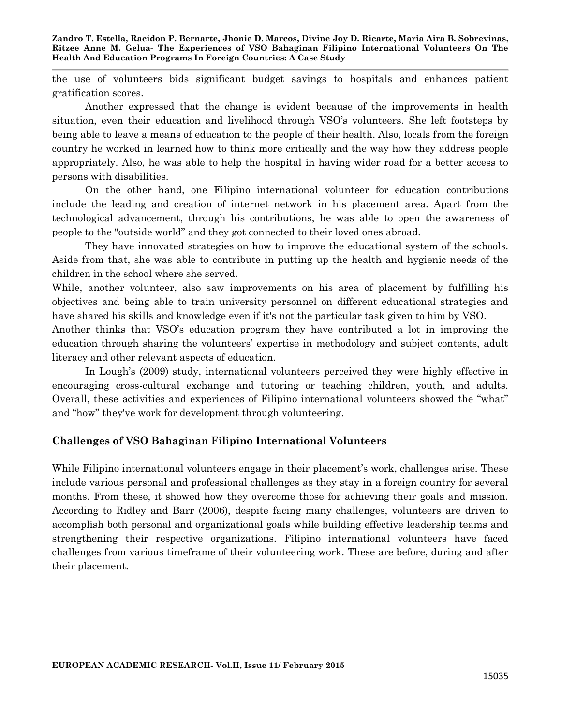the use of volunteers bids significant budget savings to hospitals and enhances patient gratification scores.

Another expressed that the change is evident because of the improvements in health situation, even their education and livelihood through VSO"s volunteers. She left footsteps by being able to leave a means of education to the people of their health. Also, locals from the foreign country he worked in learned how to think more critically and the way how they address people appropriately. Also, he was able to help the hospital in having wider road for a better access to persons with disabilities.

On the other hand, one Filipino international volunteer for education contributions include the leading and creation of internet network in his placement area. Apart from the technological advancement, through his contributions, he was able to open the awareness of people to the "outside world" and they got connected to their loved ones abroad.

They have innovated strategies on how to improve the educational system of the schools. Aside from that, she was able to contribute in putting up the health and hygienic needs of the children in the school where she served.

While, another volunteer, also saw improvements on his area of placement by fulfilling his objectives and being able to train university personnel on different educational strategies and have shared his skills and knowledge even if it's not the particular task given to him by VSO.

Another thinks that VSO"s education program they have contributed a lot in improving the education through sharing the volunteers" expertise in methodology and subject contents, adult literacy and other relevant aspects of education.

In Lough"s (2009) study, international volunteers perceived they were highly effective in encouraging cross-cultural exchange and tutoring or teaching children, youth, and adults. Overall, these activities and experiences of Filipino international volunteers showed the "what" and "how" they've work for development through volunteering.

## **Challenges of VSO Bahaginan Filipino International Volunteers**

While Filipino international volunteers engage in their placement's work, challenges arise. These include various personal and professional challenges as they stay in a foreign country for several months. From these, it showed how they overcome those for achieving their goals and mission. According to Ridley and Barr (2006), despite facing many challenges, volunteers are driven to accomplish both personal and organizational goals while building effective leadership teams and strengthening their respective organizations. Filipino international volunteers have faced challenges from various timeframe of their volunteering work. These are before, during and after their placement.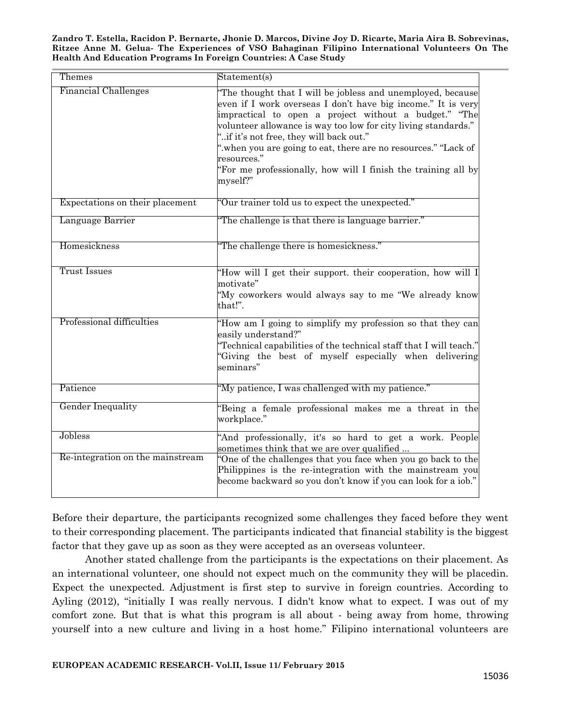| Themes                                      | Statement(s)                                                                                                                                                                                                                                                                                                                                                                                                                                                    |
|---------------------------------------------|-----------------------------------------------------------------------------------------------------------------------------------------------------------------------------------------------------------------------------------------------------------------------------------------------------------------------------------------------------------------------------------------------------------------------------------------------------------------|
| <b>Financial Challenges</b>                 | "The thought that I will be jobless and unemployed, because<br>even if I work overseas I don't have big income." It is very<br>impractical to open a project without a budget." "The<br>volunteer allowance is way too low for city living standards."<br>"if it's not free, they will back out."<br>".when you are going to eat, there are no resources." "Lack of<br>resources."<br>"For me professionally, how will I finish the training all by<br>myself?" |
| Expectations on their placement             | "Our trainer told us to expect the unexpected."                                                                                                                                                                                                                                                                                                                                                                                                                 |
| Language Barrier                            | The challenge is that there is language barrier."                                                                                                                                                                                                                                                                                                                                                                                                               |
| Homesickness                                | The challenge there is homesickness."                                                                                                                                                                                                                                                                                                                                                                                                                           |
| <b>Trust Issues</b>                         | "How will I get their support, their cooperation, how will I<br>motivate"<br>"My coworkers would always say to me "We already know<br>that!".                                                                                                                                                                                                                                                                                                                   |
| Professional difficulties                   | "How am I going to simplify my profession so that they can<br>easily understand?"<br>Technical capabilities of the technical staff that I will teach."<br>Giving the best of myself especially when delivering<br>seminars"                                                                                                                                                                                                                                     |
| Patience                                    | "My patience, I was challenged with my patience."                                                                                                                                                                                                                                                                                                                                                                                                               |
| <b>Gender Inequality</b>                    | Being a female professional makes me a threat in the<br>workplace."                                                                                                                                                                                                                                                                                                                                                                                             |
| Jobless<br>Re-integration on the mainstream | "And professionally, it's so hard to get a work. People<br>sometimes think that we are over qualified<br>"One of the challenges that you face when you go back to the<br>Philippines is the re-integration with the mainstream you<br>become backward so you don't know if you can look for a iob."                                                                                                                                                             |

Before their departure, the participants recognized some challenges they faced before they went to their corresponding placement. The participants indicated that financial stability is the biggest factor that they gave up as soon as they were accepted as an overseas volunteer.

Another stated challenge from the participants is the expectations on their placement. As an international volunteer, one should not expect much on the community they will be placedin. Expect the unexpected. Adjustment is first step to survive in foreign countries. According to Ayling (2012), "initially I was really nervous. I didn't know what to expect. I was out of my comfort zone. But that is what this program is all about - being away from home, throwing yourself into a new culture and living in a host home." Filipino international volunteers are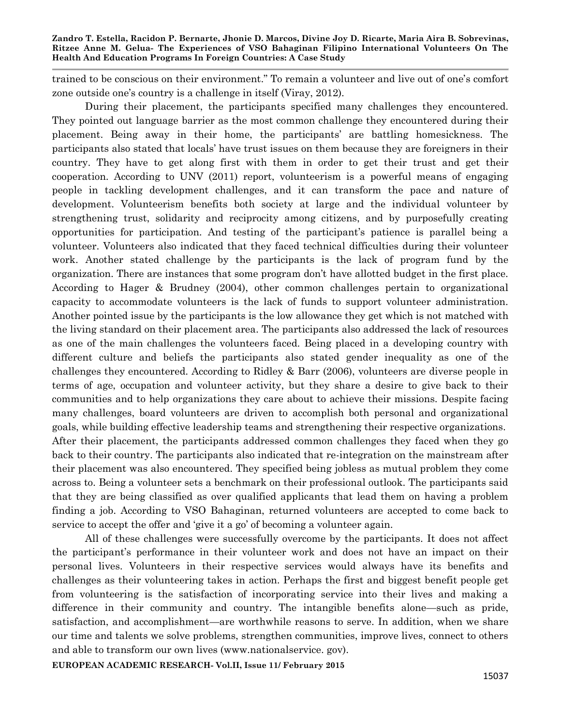trained to be conscious on their environment." To remain a volunteer and live out of one"s comfort zone outside one's country is a challenge in itself (Viray, 2012).

During their placement, the participants specified many challenges they encountered. They pointed out language barrier as the most common challenge they encountered during their placement. Being away in their home, the participants" are battling homesickness. The participants also stated that locals" have trust issues on them because they are foreigners in their country. They have to get along first with them in order to get their trust and get their cooperation. According to UNV (2011) report, volunteerism is a powerful means of engaging people in tackling development challenges, and it can transform the pace and nature of development. Volunteerism benefits both society at large and the individual volunteer by strengthening trust, solidarity and reciprocity among citizens, and by purposefully creating opportunities for participation. And testing of the participant"s patience is parallel being a volunteer. Volunteers also indicated that they faced technical difficulties during their volunteer work. Another stated challenge by the participants is the lack of program fund by the organization. There are instances that some program don"t have allotted budget in the first place. According to Hager & Brudney (2004), other common challenges pertain to organizational capacity to accommodate volunteers is the lack of funds to support volunteer administration. Another pointed issue by the participants is the low allowance they get which is not matched with the living standard on their placement area. The participants also addressed the lack of resources as one of the main challenges the volunteers faced. Being placed in a developing country with different culture and beliefs the participants also stated gender inequality as one of the challenges they encountered. According to Ridley & Barr (2006), volunteers are diverse people in terms of age, occupation and volunteer activity, but they share a desire to give back to their communities and to help organizations they care about to achieve their missions. Despite facing many challenges, board volunteers are driven to accomplish both personal and organizational goals, while building effective leadership teams and strengthening their respective organizations. After their placement, the participants addressed common challenges they faced when they go back to their country. The participants also indicated that re-integration on the mainstream after their placement was also encountered. They specified being jobless as mutual problem they come across to. Being a volunteer sets a benchmark on their professional outlook. The participants said that they are being classified as over qualified applicants that lead them on having a problem finding a job. According to VSO Bahaginan, returned volunteers are accepted to come back to service to accept the offer and 'give it a go' of becoming a volunteer again.

All of these challenges were successfully overcome by the participants. It does not affect the participant"s performance in their volunteer work and does not have an impact on their personal lives. Volunteers in their respective services would always have its benefits and challenges as their volunteering takes in action. Perhaps the first and biggest benefit people get from volunteering is the satisfaction of incorporating service into their lives and making a difference in their community and country. The intangible benefits alone—such as pride, satisfaction, and accomplishment—are worthwhile reasons to serve. In addition, when we share our time and talents we solve problems, strengthen communities, improve lives, connect to others and able to transform our own lives (www.nationalservice. gov).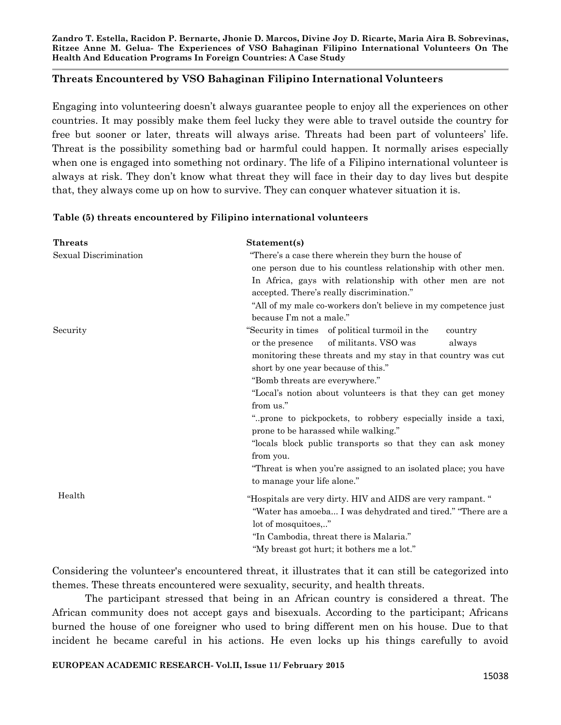#### **Threats Encountered by VSO Bahaginan Filipino International Volunteers**

Engaging into volunteering doesn"t always guarantee people to enjoy all the experiences on other countries. It may possibly make them feel lucky they were able to travel outside the country for free but sooner or later, threats will always arise. Threats had been part of volunteers" life. Threat is the possibility something bad or harmful could happen. It normally arises especially when one is engaged into something not ordinary. The life of a Filipino international volunteer is always at risk. They don"t know what threat they will face in their day to day lives but despite that, they always come up on how to survive. They can conquer whatever situation it is.

#### **Table (5) threats encountered by Filipino international volunteers**

| <b>Threats</b>        | Statement(s)                                                                                                                                                                                                                                                                                                                                                                                                                                                                                                                                                                                                            |
|-----------------------|-------------------------------------------------------------------------------------------------------------------------------------------------------------------------------------------------------------------------------------------------------------------------------------------------------------------------------------------------------------------------------------------------------------------------------------------------------------------------------------------------------------------------------------------------------------------------------------------------------------------------|
| Sexual Discrimination | "There's a case there wherein they burn the house of<br>one person due to his countless relationship with other men.<br>In Africa, gays with relationship with other men are not<br>accepted. There's really discrimination."<br>"All of my male co-workers don't believe in my competence just<br>because I'm not a male."                                                                                                                                                                                                                                                                                             |
| Security              | "Security in times of political turmoil in the<br>country<br>of militants. VSO was<br>or the presence<br>always<br>monitoring these threats and my stay in that country was cut<br>short by one year because of this."<br>"Bomb threats are everywhere."<br>"Local's notion about volunteers is that they can get money<br>from us."<br>"prone to pickpockets, to robbery especially inside a taxi,<br>prone to be harassed while walking."<br>"locals block public transports so that they can ask money<br>from you.<br>"Threat is when you're assigned to an isolated place; you have<br>to manage your life alone." |
| Health                | "Hospitals are very dirty. HIV and AIDS are very rampant. "<br>"Water has amoeba I was dehydrated and tired." "There are a<br>lot of mosquitoes"<br>"In Cambodia, threat there is Malaria."<br>"My breast got hurt; it bothers me a lot."                                                                                                                                                                                                                                                                                                                                                                               |

Considering the volunteer's encountered threat, it illustrates that it can still be categorized into themes. These threats encountered were sexuality, security, and health threats.

The participant stressed that being in an African country is considered a threat. The African community does not accept gays and bisexuals. According to the participant; Africans burned the house of one foreigner who used to bring different men on his house. Due to that incident he became careful in his actions. He even locks up his things carefully to avoid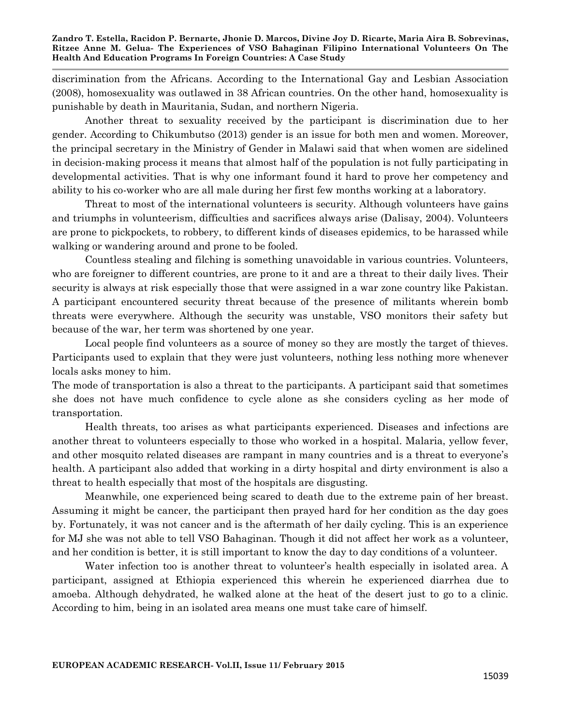discrimination from the Africans. According to the International Gay and Lesbian Association (2008), homosexuality was outlawed in 38 African countries. On the other hand, homosexuality is punishable by death in Mauritania, Sudan, and northern Nigeria.

Another threat to sexuality received by the participant is discrimination due to her gender. According to Chikumbutso (2013) gender is an issue for both men and women. Moreover, the principal secretary in the Ministry of Gender in Malawi said that when women are sidelined in decision-making process it means that almost half of the population is not fully participating in developmental activities. That is why one informant found it hard to prove her competency and ability to his co-worker who are all male during her first few months working at a laboratory.

Threat to most of the international volunteers is security. Although volunteers have gains and triumphs in volunteerism, difficulties and sacrifices always arise (Dalisay, 2004). Volunteers are prone to pickpockets, to robbery, to different kinds of diseases epidemics, to be harassed while walking or wandering around and prone to be fooled.

Countless stealing and filching is something unavoidable in various countries. Volunteers, who are foreigner to different countries, are prone to it and are a threat to their daily lives. Their security is always at risk especially those that were assigned in a war zone country like Pakistan. A participant encountered security threat because of the presence of militants wherein bomb threats were everywhere. Although the security was unstable, VSO monitors their safety but because of the war, her term was shortened by one year.

Local people find volunteers as a source of money so they are mostly the target of thieves. Participants used to explain that they were just volunteers, nothing less nothing more whenever locals asks money to him.

The mode of transportation is also a threat to the participants. A participant said that sometimes she does not have much confidence to cycle alone as she considers cycling as her mode of transportation.

Health threats, too arises as what participants experienced. Diseases and infections are another threat to volunteers especially to those who worked in a hospital. Malaria, yellow fever, and other mosquito related diseases are rampant in many countries and is a threat to everyone's health. A participant also added that working in a dirty hospital and dirty environment is also a threat to health especially that most of the hospitals are disgusting.

Meanwhile, one experienced being scared to death due to the extreme pain of her breast. Assuming it might be cancer, the participant then prayed hard for her condition as the day goes by. Fortunately, it was not cancer and is the aftermath of her daily cycling. This is an experience for MJ she was not able to tell VSO Bahaginan. Though it did not affect her work as a volunteer, and her condition is better, it is still important to know the day to day conditions of a volunteer.

Water infection too is another threat to volunteer's health especially in isolated area. A participant, assigned at Ethiopia experienced this wherein he experienced diarrhea due to amoeba. Although dehydrated, he walked alone at the heat of the desert just to go to a clinic. According to him, being in an isolated area means one must take care of himself.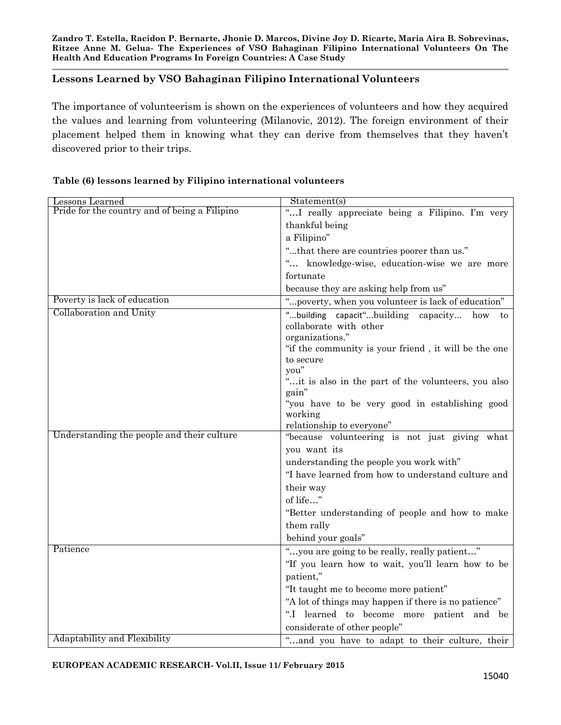# **Lessons Learned by VSO Bahaginan Filipino International Volunteers**

The importance of volunteerism is shown on the experiences of volunteers and how they acquired the values and learning from volunteering (Milanovic, 2012). The foreign environment of their placement helped them in knowing what they can derive from themselves that they haven"t discovered prior to their trips.

| Lessons Learned                               | Statement(s)                                                                                     |
|-----------------------------------------------|--------------------------------------------------------------------------------------------------|
| Pride for the country and of being a Filipino | " I really appreciate being a Filipino. I'm very                                                 |
|                                               | thankful being                                                                                   |
|                                               | a Filipino"                                                                                      |
|                                               | "that there are countries poorer than us."                                                       |
|                                               | " knowledge-wise, education-wise we are more                                                     |
|                                               | fortunate                                                                                        |
|                                               | because they are asking help from us"                                                            |
| Poverty is lack of education                  | "poverty, when you volunteer is lack of education"                                               |
| Collaboration and Unity                       | "building capacit"building<br>capacity<br>how<br>to<br>collaborate with other<br>organizations." |
|                                               | "if the community is your friend, it will be the one                                             |
|                                               | to secure                                                                                        |
|                                               | you"                                                                                             |
|                                               | "it is also in the part of the volunteers, you also                                              |
|                                               | gain"                                                                                            |
|                                               | "you have to be very good in establishing good                                                   |
|                                               | working                                                                                          |
| Understanding the people and their culture    | relationship to everyone"                                                                        |
|                                               | "because volunteering is not just giving what                                                    |
|                                               | you want its                                                                                     |
|                                               | understanding the people you work with"                                                          |
|                                               | "I have learned from how to understand culture and                                               |
|                                               | their way                                                                                        |
|                                               | of life"                                                                                         |
|                                               | "Better understanding of people and how to make                                                  |
|                                               | them rally                                                                                       |
|                                               | behind your goals"                                                                               |
| Patience                                      | "you are going to be really, really patient"                                                     |
|                                               | "If you learn how to wait, you'll learn how to be                                                |
|                                               | patient,"                                                                                        |
|                                               | "It taught me to become more patient"                                                            |
|                                               | "A lot of things may happen if there is no patience"                                             |
|                                               | ".I learned to become more patient and be                                                        |
|                                               | considerate of other people"                                                                     |
| Adaptability and Flexibility                  | and you have to adapt to their culture, their                                                    |

#### **Table (6) lessons learned by Filipino international volunteers**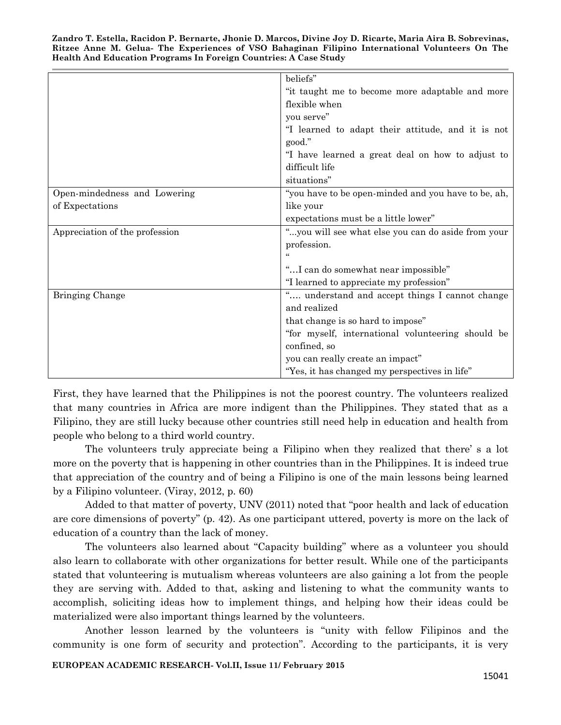|                                | beliefs"                                            |
|--------------------------------|-----------------------------------------------------|
|                                | "it taught me to become more adaptable and more     |
|                                | flexible when                                       |
|                                | you serve"                                          |
|                                | "I learned to adapt their attitude, and it is not   |
|                                | good."                                              |
|                                | "I have learned a great deal on how to adjust to    |
|                                | difficult life                                      |
|                                | situations"                                         |
| Open-mindedness and Lowering   | "you have to be open-minded and you have to be, ah, |
| of Expectations                | like your                                           |
|                                | expectations must be a little lower"                |
| Appreciation of the profession | "you will see what else you can do aside from your  |
|                                | profession.                                         |
|                                |                                                     |
|                                | "I can do somewhat near impossible"                 |
|                                | "I learned to appreciate my profession"             |
| Bringing Change                | understand and accept things I cannot change        |
|                                | and realized                                        |
|                                | that change is so hard to impose"                   |
|                                | "for myself, international volunteering should be   |
|                                | confined, so                                        |
|                                | you can really create an impact"                    |
|                                | "Yes, it has changed my perspectives in life"       |

First, they have learned that the Philippines is not the poorest country. The volunteers realized that many countries in Africa are more indigent than the Philippines. They stated that as a Filipino, they are still lucky because other countries still need help in education and health from people who belong to a third world country.

The volunteers truly appreciate being a Filipino when they realized that there" s a lot more on the poverty that is happening in other countries than in the Philippines. It is indeed true that appreciation of the country and of being a Filipino is one of the main lessons being learned by a Filipino volunteer. (Viray, 2012, p. 60)

Added to that matter of poverty, UNV (2011) noted that "poor health and lack of education are core dimensions of poverty" (p. 42). As one participant uttered, poverty is more on the lack of education of a country than the lack of money.

The volunteers also learned about "Capacity building"" where as a volunteer you should also learn to collaborate with other organizations for better result. While one of the participants stated that volunteering is mutualism whereas volunteers are also gaining a lot from the people they are serving with. Added to that, asking and listening to what the community wants to accomplish, soliciting ideas how to implement things, and helping how their ideas could be materialized were also important things learned by the volunteers.

Another lesson learned by the volunteers is "unity with fellow Filipinos and the community is one form of security and protection". According to the participants, it is very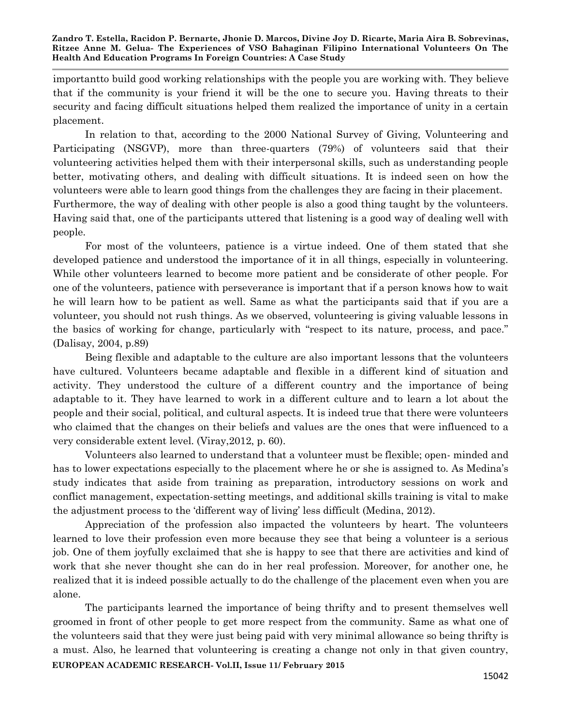importantto build good working relationships with the people you are working with. They believe that if the community is your friend it will be the one to secure you. Having threats to their security and facing difficult situations helped them realized the importance of unity in a certain placement.

In relation to that, according to the 2000 National Survey of Giving, Volunteering and Participating (NSGVP), more than three-quarters (79%) of volunteers said that their volunteering activities helped them with their interpersonal skills, such as understanding people better, motivating others, and dealing with difficult situations. It is indeed seen on how the volunteers were able to learn good things from the challenges they are facing in their placement. Furthermore, the way of dealing with other people is also a good thing taught by the volunteers. Having said that, one of the participants uttered that listening is a good way of dealing well with people.

For most of the volunteers, patience is a virtue indeed. One of them stated that she developed patience and understood the importance of it in all things, especially in volunteering. While other volunteers learned to become more patient and be considerate of other people. For one of the volunteers, patience with perseverance is important that if a person knows how to wait he will learn how to be patient as well. Same as what the participants said that if you are a volunteer, you should not rush things. As we observed, volunteering is giving valuable lessons in the basics of working for change, particularly with "respect to its nature, process, and pace." (Dalisay, 2004, p.89)

Being flexible and adaptable to the culture are also important lessons that the volunteers have cultured. Volunteers became adaptable and flexible in a different kind of situation and activity. They understood the culture of a different country and the importance of being adaptable to it. They have learned to work in a different culture and to learn a lot about the people and their social, political, and cultural aspects. It is indeed true that there were volunteers who claimed that the changes on their beliefs and values are the ones that were influenced to a very considerable extent level. (Viray,2012, p. 60).

Volunteers also learned to understand that a volunteer must be flexible; open- minded and has to lower expectations especially to the placement where he or she is assigned to. As Medina's study indicates that aside from training as preparation, introductory sessions on work and conflict management, expectation-setting meetings, and additional skills training is vital to make the adjustment process to the "different way of living" less difficult (Medina, 2012).

Appreciation of the profession also impacted the volunteers by heart. The volunteers learned to love their profession even more because they see that being a volunteer is a serious job. One of them joyfully exclaimed that she is happy to see that there are activities and kind of work that she never thought she can do in her real profession. Moreover, for another one, he realized that it is indeed possible actually to do the challenge of the placement even when you are alone.

**EUROPEAN ACADEMIC RESEARCH- Vol.II, Issue 11/ February 2015** The participants learned the importance of being thrifty and to present themselves well groomed in front of other people to get more respect from the community. Same as what one of the volunteers said that they were just being paid with very minimal allowance so being thrifty is a must. Also, he learned that volunteering is creating a change not only in that given country,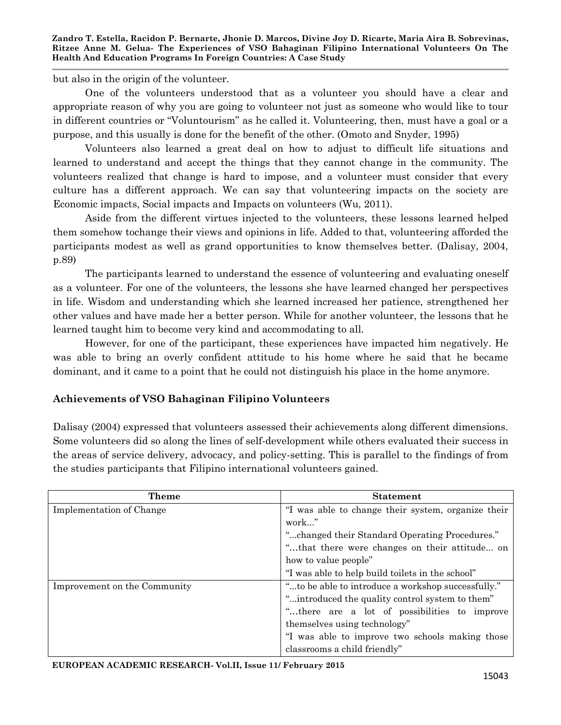but also in the origin of the volunteer.

One of the volunteers understood that as a volunteer you should have a clear and appropriate reason of why you are going to volunteer not just as someone who would like to tour in different countries or "Voluntourism" as he called it. Volunteering, then, must have a goal or a purpose, and this usually is done for the benefit of the other. (Omoto and Snyder, 1995)

Volunteers also learned a great deal on how to adjust to difficult life situations and learned to understand and accept the things that they cannot change in the community. The volunteers realized that change is hard to impose, and a volunteer must consider that every culture has a different approach. We can say that volunteering impacts on the society are Economic impacts, Social impacts and Impacts on volunteers (Wu, 2011).

Aside from the different virtues injected to the volunteers, these lessons learned helped them somehow tochange their views and opinions in life. Added to that, volunteering afforded the participants modest as well as grand opportunities to know themselves better. (Dalisay, 2004, p.89)

The participants learned to understand the essence of volunteering and evaluating oneself as a volunteer. For one of the volunteers, the lessons she have learned changed her perspectives in life. Wisdom and understanding which she learned increased her patience, strengthened her other values and have made her a better person. While for another volunteer, the lessons that he learned taught him to become very kind and accommodating to all.

However, for one of the participant, these experiences have impacted him negatively. He was able to bring an overly confident attitude to his home where he said that he became dominant, and it came to a point that he could not distinguish his place in the home anymore.

## **Achievements of VSO Bahaginan Filipino Volunteers**

Dalisay (2004) expressed that volunteers assessed their achievements along different dimensions. Some volunteers did so along the lines of self-development while others evaluated their success in the areas of service delivery, advocacy, and policy-setting. This is parallel to the findings of from the studies participants that Filipino international volunteers gained.

| <b>Theme</b>                 | <b>Statement</b>                                   |
|------------------------------|----------------------------------------------------|
| Implementation of Change     | "I was able to change their system, organize their |
|                              | work"                                              |
|                              | "changed their Standard Operating Procedures."     |
|                              | "that there were changes on their attitude on      |
|                              | how to value people"                               |
|                              | "I was able to help build toilets in the school"   |
| Improvement on the Community | "to be able to introduce a workshop successfully." |
|                              | "introduced the quality control system to them"    |
|                              | "there are a lot of possibilities to improve       |
|                              | themselves using technology"                       |
|                              | "I was able to improve two schools making those    |
|                              | classrooms a child friendly"                       |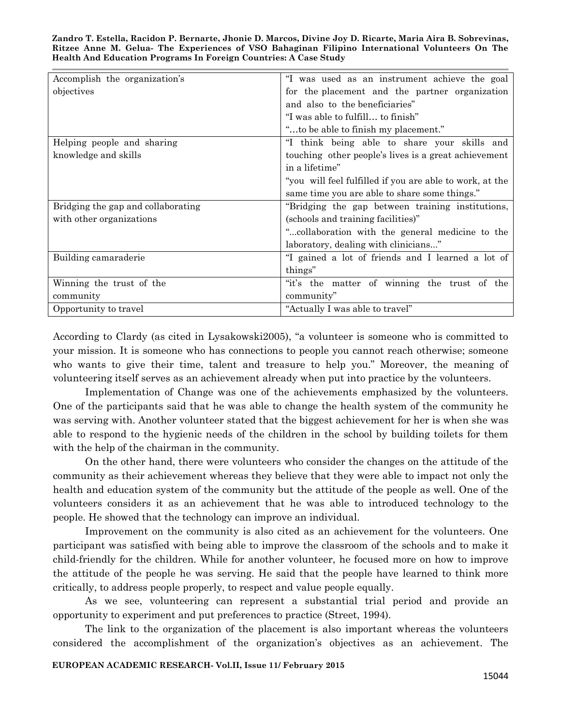| Accomplish the organization's      | "I was used as an instrument achieve the goal            |
|------------------------------------|----------------------------------------------------------|
| objectives                         | for the placement and the partner organization           |
|                                    | and also to the beneficiaries"                           |
|                                    | "I was able to fulfill to finish"                        |
|                                    | "to be able to finish my placement."                     |
| Helping people and sharing         | "I think being able to share your skills and             |
| knowledge and skills               | touching other people's lives is a great achievement     |
|                                    | in a lifetime"                                           |
|                                    | "you will feel fulfilled if you are able to work, at the |
|                                    | same time you are able to share some things."            |
| Bridging the gap and collaborating | "Bridging the gap between training institutions,         |
| with other organizations           | (schools and training facilities)"                       |
|                                    | "collaboration with the general medicine to the          |
|                                    | laboratory, dealing with clinicians"                     |
| Building camaraderie               | "I gained a lot of friends and I learned a lot of        |
|                                    | things"                                                  |
| Winning the trust of the           | "it's the matter of winning the trust of the             |
| community                          | community"                                               |
| Opportunity to travel              | "Actually I was able to travel"                          |

According to Clardy (as cited in Lysakowski2005), "a volunteer is someone who is committed to your mission. It is someone who has connections to people you cannot reach otherwise; someone who wants to give their time, talent and treasure to help you." Moreover, the meaning of volunteering itself serves as an achievement already when put into practice by the volunteers.

Implementation of Change was one of the achievements emphasized by the volunteers. One of the participants said that he was able to change the health system of the community he was serving with. Another volunteer stated that the biggest achievement for her is when she was able to respond to the hygienic needs of the children in the school by building toilets for them with the help of the chairman in the community.

On the other hand, there were volunteers who consider the changes on the attitude of the community as their achievement whereas they believe that they were able to impact not only the health and education system of the community but the attitude of the people as well. One of the volunteers considers it as an achievement that he was able to introduced technology to the people. He showed that the technology can improve an individual.

Improvement on the community is also cited as an achievement for the volunteers. One participant was satisfied with being able to improve the classroom of the schools and to make it child-friendly for the children. While for another volunteer, he focused more on how to improve the attitude of the people he was serving. He said that the people have learned to think more critically, to address people properly, to respect and value people equally.

As we see, volunteering can represent a substantial trial period and provide an opportunity to experiment and put preferences to practice (Street, 1994).

The link to the organization of the placement is also important whereas the volunteers considered the accomplishment of the organization"s objectives as an achievement. The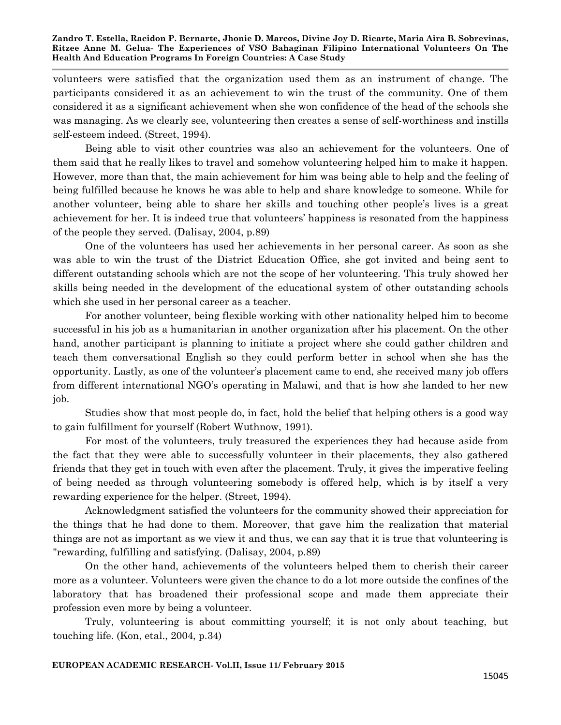volunteers were satisfied that the organization used them as an instrument of change. The participants considered it as an achievement to win the trust of the community. One of them considered it as a significant achievement when she won confidence of the head of the schools she was managing. As we clearly see, volunteering then creates a sense of self-worthiness and instills self-esteem indeed. (Street, 1994).

Being able to visit other countries was also an achievement for the volunteers. One of them said that he really likes to travel and somehow volunteering helped him to make it happen. However, more than that, the main achievement for him was being able to help and the feeling of being fulfilled because he knows he was able to help and share knowledge to someone. While for another volunteer, being able to share her skills and touching other people's lives is a great achievement for her. It is indeed true that volunteers" happiness is resonated from the happiness of the people they served. (Dalisay, 2004, p.89)

One of the volunteers has used her achievements in her personal career. As soon as she was able to win the trust of the District Education Office, she got invited and being sent to different outstanding schools which are not the scope of her volunteering. This truly showed her skills being needed in the development of the educational system of other outstanding schools which she used in her personal career as a teacher.

For another volunteer, being flexible working with other nationality helped him to become successful in his job as a humanitarian in another organization after his placement. On the other hand, another participant is planning to initiate a project where she could gather children and teach them conversational English so they could perform better in school when she has the opportunity. Lastly, as one of the volunteer"s placement came to end, she received many job offers from different international NGO"s operating in Malawi, and that is how she landed to her new job.

Studies show that most people do, in fact, hold the belief that helping others is a good way to gain fulfillment for yourself (Robert Wuthnow, 1991).

For most of the volunteers, truly treasured the experiences they had because aside from the fact that they were able to successfully volunteer in their placements, they also gathered friends that they get in touch with even after the placement. Truly, it gives the imperative feeling of being needed as through volunteering somebody is offered help, which is by itself a very rewarding experience for the helper. (Street, 1994).

Acknowledgment satisfied the volunteers for the community showed their appreciation for the things that he had done to them. Moreover, that gave him the realization that material things are not as important as we view it and thus, we can say that it is true that volunteering is "rewarding, fulfilling and satisfying. (Dalisay, 2004, p.89)

On the other hand, achievements of the volunteers helped them to cherish their career more as a volunteer. Volunteers were given the chance to do a lot more outside the confines of the laboratory that has broadened their professional scope and made them appreciate their profession even more by being a volunteer.

Truly, volunteering is about committing yourself; it is not only about teaching, but touching life. (Kon, etal., 2004, p.34)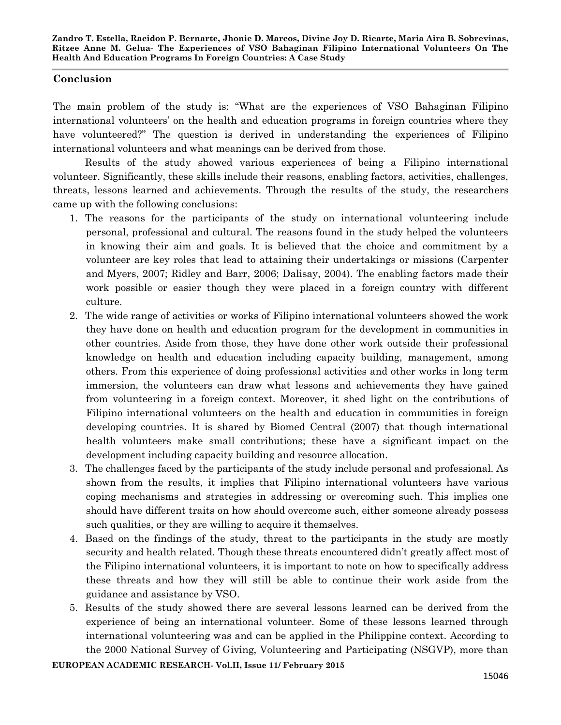## **Conclusion**

The main problem of the study is: "What are the experiences of VSO Bahaginan Filipino international volunteers' on the health and education programs in foreign countries where they have volunteered?" The question is derived in understanding the experiences of Filipino international volunteers and what meanings can be derived from those.

Results of the study showed various experiences of being a Filipino international volunteer. Significantly, these skills include their reasons, enabling factors, activities, challenges, threats, lessons learned and achievements. Through the results of the study, the researchers came up with the following conclusions:

- 1. The reasons for the participants of the study on international volunteering include personal, professional and cultural. The reasons found in the study helped the volunteers in knowing their aim and goals. It is believed that the choice and commitment by a volunteer are key roles that lead to attaining their undertakings or missions (Carpenter and Myers, 2007; Ridley and Barr, 2006; Dalisay, 2004). The enabling factors made their work possible or easier though they were placed in a foreign country with different culture.
- 2. The wide range of activities or works of Filipino international volunteers showed the work they have done on health and education program for the development in communities in other countries. Aside from those, they have done other work outside their professional knowledge on health and education including capacity building, management, among others. From this experience of doing professional activities and other works in long term immersion, the volunteers can draw what lessons and achievements they have gained from volunteering in a foreign context. Moreover, it shed light on the contributions of Filipino international volunteers on the health and education in communities in foreign developing countries. It is shared by Biomed Central (2007) that though international health volunteers make small contributions; these have a significant impact on the development including capacity building and resource allocation.
- 3. The challenges faced by the participants of the study include personal and professional. As shown from the results, it implies that Filipino international volunteers have various coping mechanisms and strategies in addressing or overcoming such. This implies one should have different traits on how should overcome such, either someone already possess such qualities, or they are willing to acquire it themselves.
- 4. Based on the findings of the study, threat to the participants in the study are mostly security and health related. Though these threats encountered didn"t greatly affect most of the Filipino international volunteers, it is important to note on how to specifically address these threats and how they will still be able to continue their work aside from the guidance and assistance by VSO.
- 5. Results of the study showed there are several lessons learned can be derived from the experience of being an international volunteer. Some of these lessons learned through international volunteering was and can be applied in the Philippine context. According to the 2000 National Survey of Giving, Volunteering and Participating (NSGVP), more than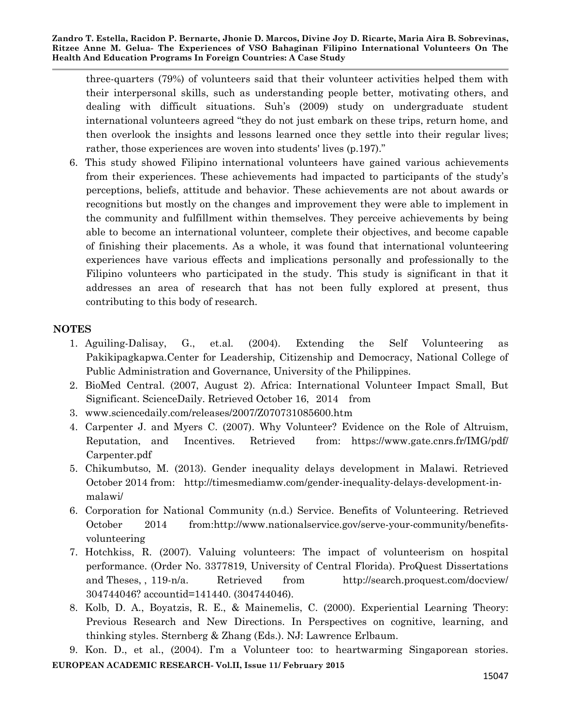three-quarters (79%) of volunteers said that their volunteer activities helped them with their interpersonal skills, such as understanding people better, motivating others, and dealing with difficult situations. Suh"s (2009) study on undergraduate student international volunteers agreed "they do not just embark on these trips, return home, and then overlook the insights and lessons learned once they settle into their regular lives; rather, those experiences are woven into students' lives (p.197)."

6. This study showed Filipino international volunteers have gained various achievements from their experiences. These achievements had impacted to participants of the study"s perceptions, beliefs, attitude and behavior. These achievements are not about awards or recognitions but mostly on the changes and improvement they were able to implement in the community and fulfillment within themselves. They perceive achievements by being able to become an international volunteer, complete their objectives, and become capable of finishing their placements. As a whole, it was found that international volunteering experiences have various effects and implications personally and professionally to the Filipino volunteers who participated in the study. This study is significant in that it addresses an area of research that has not been fully explored at present, thus contributing to this body of research.

## **NOTES**

- 1. Aguiling-Dalisay, G., et.al. (2004). Extending the Self Volunteering as Pakikipagkapwa.Center for Leadership, Citizenship and Democracy, National College of Public Administration and Governance, University of the Philippines.
- 2. BioMed Central. (2007, August 2). Africa: International Volunteer Impact Small, But Significant. ScienceDaily. Retrieved October 16, 2014 from
- 3. www.sciencedaily.com/releases/2007/Z070731085600.htm
- 4. Carpenter J. and Myers C. (2007). Why Volunteer? Evidence on the Role of Altruism, Reputation, and Incentives. Retrieved from: https://www.gate.cnrs.fr/IMG/pdf/ Carpenter.pdf
- 5. Chikumbutso, M. (2013). Gender inequality delays development in Malawi. Retrieved October 2014 from: http://timesmediamw.com/gender-inequality-delays-development-inmalawi/
- 6. Corporation for National Community (n.d.) Service. Benefits of Volunteering. Retrieved October 2014 from:http://www.nationalservice.gov/serve-your-community/benefitsvolunteering
- 7. Hotchkiss, R. (2007). Valuing volunteers: The impact of volunteerism on hospital performance. (Order No. 3377819, University of Central Florida). ProQuest Dissertations and Theses, , 119-n/a. Retrieved from http://search.proquest.com/docview/ 304744046? accountid=141440. (304744046).
- 8. Kolb, D. A., Boyatzis, R. E., & Mainemelis, C. (2000). Experiential Learning Theory: Previous Research and New Directions. In Perspectives on cognitive, learning, and thinking styles. Sternberg & Zhang (Eds.). NJ: Lawrence Erlbaum.

**EUROPEAN ACADEMIC RESEARCH- Vol.II, Issue 11/ February 2015** 9. Kon. D., et al., (2004). I"m a Volunteer too: to heartwarming Singaporean stories.